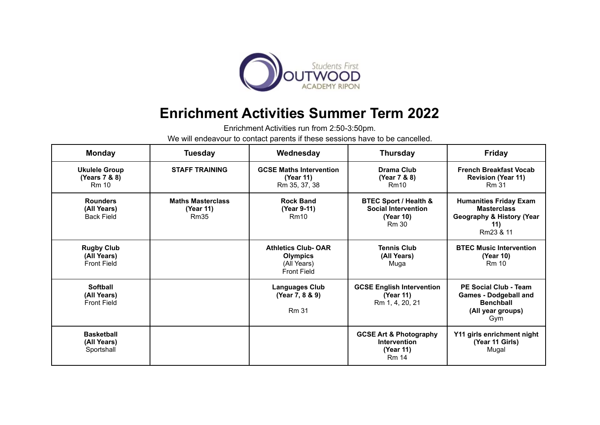

## **Enrichment Activities Summer Term 2022**

Enrichment Activities run from 2:50-3:50pm.

We will endeavour to contact parents if these sessions have to be cancelled.

| <b>Monday</b>                                          | <b>Tuesday</b>                                | Wednesday                                                                         | <b>Thursday</b>                                                                | Friday                                                                                                          |
|--------------------------------------------------------|-----------------------------------------------|-----------------------------------------------------------------------------------|--------------------------------------------------------------------------------|-----------------------------------------------------------------------------------------------------------------|
| <b>Ukulele Group</b><br>(Years 7 & 8)<br><b>Rm 10</b>  | <b>STAFF TRAINING</b>                         | <b>GCSE Maths Intervention</b><br>(Year 11)<br>Rm 35, 37, 38                      | Drama Club<br>(Year 7 & 8)<br>Rm10                                             | <b>French Breakfast Vocab</b><br><b>Revision (Year 11)</b><br><b>Rm 31</b>                                      |
| <b>Rounders</b><br>(All Years)<br><b>Back Field</b>    | <b>Maths Masterclass</b><br>(Year 11)<br>Rm35 | <b>Rock Band</b><br>(Year 9-11)<br>Rm10                                           | BTEC Sport / Health &<br><b>Social Intervention</b><br>(Year 10)<br>Rm 30      | <b>Humanities Friday Exam</b><br><b>Masterclass</b><br><b>Geography &amp; History (Year</b><br>11)<br>Rm23 & 11 |
| <b>Rugby Club</b><br>(All Years)<br><b>Front Field</b> |                                               | <b>Athletics Club-OAR</b><br><b>Olympics</b><br>(All Years)<br><b>Front Field</b> | <b>Tennis Club</b><br>(All Years)<br>Muga                                      | <b>BTEC Music Intervention</b><br>(Year 10)<br><b>Rm 10</b>                                                     |
| <b>Softball</b><br>(All Years)<br><b>Front Field</b>   |                                               | <b>Languages Club</b><br>(Year 7, 8 & 9)<br><b>Rm 31</b>                          | <b>GCSE English Intervention</b><br>(Year 11)<br>Rm 1, 4, 20, 21               | <b>PE Social Club - Team</b><br><b>Games - Dodgeball and</b><br><b>Benchball</b><br>(All year groups)<br>Gym    |
| <b>Basketball</b><br>(All Years)<br>Sportshall         |                                               |                                                                                   | <b>GCSE Art &amp; Photography</b><br>Intervention<br>(Year 11)<br><b>Rm 14</b> | Y11 girls enrichment night<br>(Year 11 Girls)<br>Mugal                                                          |